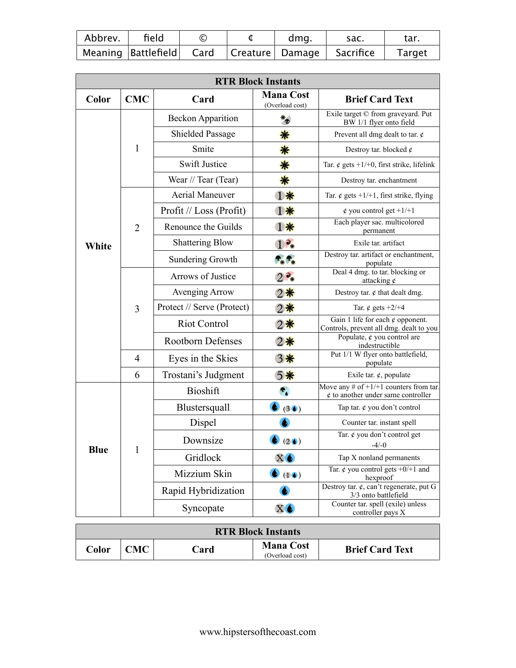| Abbrev. | field | $\circled{\rm c}$ | dma. | sac.                                                           | tar.          |
|---------|-------|-------------------|------|----------------------------------------------------------------|---------------|
|         |       |                   |      | Meaning  Battlefield   Card    Creature    Damage    Sacrifice | <b>Target</b> |

|             |                |                            | <b>RTR Block Instants</b>           |                                                                                     |
|-------------|----------------|----------------------------|-------------------------------------|-------------------------------------------------------------------------------------|
| Color       | <b>CMC</b>     | Card                       | <b>Mana Cost</b><br>(Overload cost) | <b>Brief Card Text</b>                                                              |
|             |                | <b>Beckon Apparition</b>   | $*_{\Phi}$                          | Exile target © from graveyard. Put<br>BW 1/1 flyer onto field                       |
|             |                | <b>Shielded Passage</b>    | 藥                                   | Prevent all dmg dealt to tar. $\phi$                                                |
|             | 1              | Smite                      | 藥                                   | Destroy tar. blocked $\phi$                                                         |
|             |                | <b>Swift Justice</b>       | 藥                                   | Tar. $\phi$ gets +1/+0, first strike, lifelink                                      |
|             |                | Wear // Tear (Tear)        | 藥                                   | Destroy tar. enchantment                                                            |
|             |                | <b>Aerial Maneuver</b>     | 癣                                   | Tar. $\phi$ gets +1/+1, first strike, flying                                        |
|             |                | Profit // Loss (Profit)    | 漸                                   | $\phi$ you control get +1/+1                                                        |
|             | $\overline{2}$ | Renounce the Guilds        | 蘩                                   | Each player sac. multicolored<br>permanent                                          |
| White       |                | <b>Shattering Blow</b>     | $\partial_*$                        | Exile tar. artifact                                                                 |
|             |                | <b>Sundering Growth</b>    | $\mathbf{r}_{*}$                    | Destroy tar. artifact or enchantment,<br>populate                                   |
|             |                | Arrows of Justice          | $\partial_{\ast}$                   | Deal 4 dmg. to tar. blocking or<br>attacking $\phi$                                 |
|             | 3              | Avenging Arrow             | 2景                                  | Destroy tar. $\phi$ that dealt dmg.                                                 |
|             |                | Protect // Serve (Protect) | 2賽                                  | Tar. $\phi$ gets +2/+4                                                              |
|             |                | <b>Riot Control</b>        | 2賽                                  | Gain 1 life for each $\phi$ opponent.<br>Controls, prevent all dmg. dealt to you    |
|             |                | <b>Rootborn Defenses</b>   | 2章                                  | Populate, $\phi$ you control are<br>indestructible                                  |
|             | 4              | Eyes in the Skies          | 3賽                                  | Put 1/1 W flyer onto battlefield,<br>populate                                       |
|             | 6              | Trostani's Judgment        | 5景                                  | Exile tar. $\phi$ , populate                                                        |
|             |                | <b>Bioshift</b>            | $\mathbf{P}_{\mathbf{A}}$           | Move any # of $+1/+1$ counters from tar.<br>$\phi$ to another under same controller |
|             |                | Blustersquall              | (30)                                | Tap tar. $\phi$ you don't control                                                   |
|             |                | Dispel                     |                                     | Counter tar. instant spell                                                          |
|             | 1              | Downsize                   | (20)                                | Tar. ¢ you don't control get<br>$-4/-0$                                             |
| <b>Blue</b> |                | Gridlock                   | XO                                  | Tap X nonland permanents                                                            |
|             |                | Mizzium Skin               | $\bullet$ (DO)                      | Tar. $\oint$ you control gets +0/+1 and<br>hexproof                                 |
|             |                | Rapid Hybridization        |                                     | Destroy tar. $\phi$ , can't regenerate, put G<br>3/3 onto battlefield               |
|             |                | Syncopate                  | $X\spadesuit$                       | Counter tar. spell (exile) unless<br>controller pays X                              |

| <b>RTR Block Instants</b> |                         |      |                                     |                        |  |  |
|---------------------------|-------------------------|------|-------------------------------------|------------------------|--|--|
| Color                     | $^{\circ}$ M $^{\circ}$ | `ard | <b>Mana Cost</b><br>(Overload cost) | <b>Brief Card Text</b> |  |  |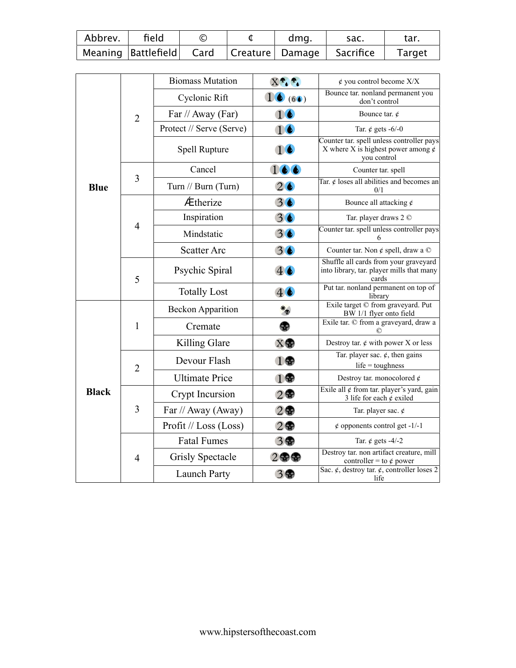| Abbrev. | field | $\circled{\rm c}$ | dma. | sac.                                                           | tar.          |
|---------|-------|-------------------|------|----------------------------------------------------------------|---------------|
|         |       |                   |      | Meaning  Battlefield    Card    Creature   Damage    Sacrifice | <b>Target</b> |

|              |                | <b>Biomass Mutation</b>  | $X^{\bullet}$ .                 | $\phi$ you control become $X/X$                                                                     |
|--------------|----------------|--------------------------|---------------------------------|-----------------------------------------------------------------------------------------------------|
|              |                | Cyclonic Rift            | 16(6)                           | Bounce tar. nonland permanent you<br>don't control                                                  |
|              | $\overline{2}$ | Far // Away (Far)        | 16                              | Bounce tar. $\phi$                                                                                  |
|              |                | Protect // Serve (Serve) | 16                              | Tar. $\phi$ gets -6/-0                                                                              |
|              |                | Spell Rupture            | 16                              | Counter tar. spell unless controller pays<br>X where X is highest power among $\phi$<br>you control |
|              |                | Cancel                   | 166                             | Counter tar. spell                                                                                  |
| <b>Blue</b>  | 3              | Turn // Burn (Turn)      | $2\bullet$                      | Tar. $\phi$ loses all abilities and becomes an<br>0/1                                               |
|              |                | Ætherize                 | 36                              | Bounce all attacking $\phi$                                                                         |
|              |                | Inspiration              | 30                              | Tar. player draws 2 ©                                                                               |
|              | $\overline{4}$ | Mindstatic               | 30                              | Counter tar. spell unless controller pays<br>6                                                      |
|              |                | <b>Scatter Arc</b>       | 30                              | Counter tar. Non $\phi$ spell, draw a $\odot$                                                       |
|              | 5              | Psychic Spiral           | $4 \bullet$                     | Shuffle all cards from your graveyard<br>into library, tar. player mills that many<br>cards         |
|              |                | <b>Totally Lost</b>      | 40                              | Put tar. nonland permanent on top of<br>library                                                     |
|              |                | <b>Beckon Apparition</b> | $*_{\Phi}$                      | Exile target © from graveyard. Put<br>BW 1/1 flyer onto field                                       |
|              | $\mathbf{1}$   | Cremate                  | Ф.                              | Exile tar. © from a graveyard, draw a                                                               |
|              |                | Killing Glare            | $X \oplus$                      | Destroy tar. $\phi$ with power X or less                                                            |
|              | $\overline{2}$ | Devour Flash             | 1                               | Tar. player sac. $\phi$ , then gains<br>$life = toughness$                                          |
|              |                | <b>Ultimate Price</b>    | 1                               | Destroy tar. monocolored $\phi$                                                                     |
| <b>Black</b> |                | Crypt Incursion          | 2                               | Exile all $\phi$ from tar. player's yard, gain<br>3 life for each $\phi$ exiled                     |
|              | 3              | Far // Away (Away)       | 2                               | Tar. player sac. $\phi$                                                                             |
|              |                | Profit // Loss (Loss)    | 2                               | $\phi$ opponents control get -1/-1                                                                  |
|              |                | <b>Fatal Fumes</b>       | 3                               | Tar. $\phi$ gets -4/-2                                                                              |
|              | $\overline{4}$ | <b>Grisly Spectacle</b>  | $2$ $\circledast$ $\circledast$ | Destroy tar. non artifact creature, mill<br>controller = to $\phi$ power                            |
|              |                | Launch Party             | 3                               | Sac. $\phi$ , destroy tar. $\phi$ , controller loses 2<br>life                                      |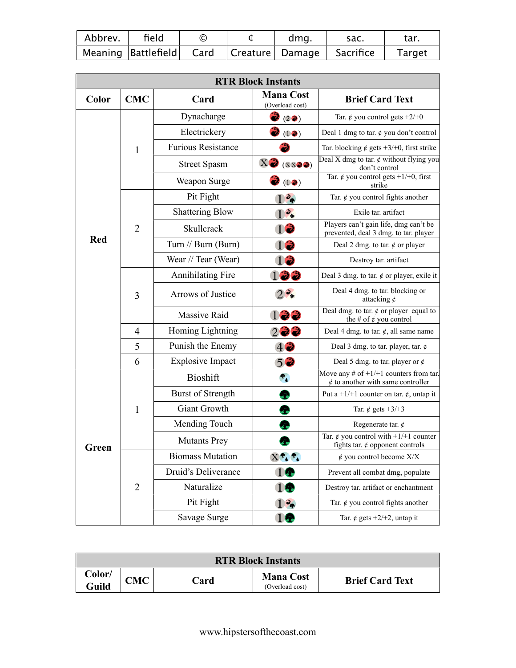| Abbrev. | field |  | dma. | sac.                                                                          | tar. |
|---------|-------|--|------|-------------------------------------------------------------------------------|------|
|         |       |  |      | Meaning  Battlefield    Card     Creature   Damage     Sacrifice       Target |      |

|            |                |                           | <b>RTR Block Instants</b>           |                                                                                    |
|------------|----------------|---------------------------|-------------------------------------|------------------------------------------------------------------------------------|
| Color      | <b>CMC</b>     | Card                      | <b>Mana Cost</b><br>(Overload cost) | <b>Brief Card Text</b>                                                             |
|            |                | Dynacharge                | $\mathbf{a}_{(2\bullet)}$           | Tar. $\phi$ you control gets +2/+0                                                 |
|            |                | Electrickery              | ð<br>(12)                           | Deal 1 dmg to tar. $\phi$ you don't control                                        |
|            | 1              | <b>Furious Resistance</b> |                                     | Tar. blocking $\phi$ gets +3/+0, first strike                                      |
|            |                | <b>Street Spasm</b>       | X(3(x)                              | Deal X dmg to tar. $\phi$ without flying you<br>don't control                      |
|            |                | Weapon Surge              | $\mathbf{v}^{(1)}$                  | Tar. ¢ you control gets $+1/+0$ , first<br>strike                                  |
|            |                | Pit Fight                 | $\frac{2}{3}$                       | Tar. $\phi$ you control fights another                                             |
|            |                | <b>Shattering Blow</b>    | 1 <sup>2</sup>                      | Exile tar. artifact                                                                |
|            | $\overline{2}$ | Skullcrack                | 12                                  | Players can't gain life, dmg can't be<br>prevented, deal 3 dmg. to tar. player     |
| <b>Red</b> |                | Turn // Burn (Burn)       | 12                                  | Deal 2 dmg. to tar. $\phi$ or player                                               |
|            |                | Wear // Tear (Wear)       | 12                                  | Destroy tar. artifact                                                              |
|            |                | <b>Annihilating Fire</b>  | 122                                 | Deal 3 dmg. to tar. $\phi$ or player, exile it                                     |
|            | 3              | Arrows of Justice         | $2^2*$                              | Deal 4 dmg. to tar. blocking or<br>attacking $\phi$                                |
|            |                | <b>Massive Raid</b>       | 122                                 | Deal dmg. to tar. $\phi$ or player equal to<br>the # of $\phi$ you control         |
|            | 4              | Homing Lightning          | 222                                 | Deal 4 dmg. to tar. $\phi$ , all same name                                         |
|            | 5              | Punish the Enemy          | $4$ 2                               | Deal 3 dmg. to tar. player, tar. $\phi$                                            |
|            | 6              | <b>Explosive Impact</b>   | 50                                  | Deal 5 dmg. to tar. player or $\phi$                                               |
|            |                | <b>Bioshift</b>           | $P_{\bullet}$                       | Move any # of $+1/+1$ counters from tar.<br>$\phi$ to another with same controller |
|            |                | <b>Burst of Strength</b>  | æ                                   | Put a +1/+1 counter on tar. $\phi$ , untap it                                      |
|            | 1              | <b>Giant Growth</b>       |                                     | Tar. $\phi$ gets +3/+3                                                             |
|            |                | Mending Touch             |                                     | Regenerate tar. $\phi$                                                             |
| Green      |                | <b>Mutants Prey</b>       |                                     | Tar. ¢ you control with $+1/+1$ counter<br>fights tar. $\phi$ opponent controls    |
|            |                | <b>Biomass Mutation</b>   | $X^{\frac{a}{t}}$                   | $\phi$ you control become $X/X$                                                    |
|            |                | Druid's Deliverance       | 14                                  | Prevent all combat dmg, populate                                                   |
|            | $\overline{2}$ | Naturalize                | 10                                  | Destroy tar. artifact or enchantment                                               |
|            |                | Pit Fight                 | 1 <sub>9</sub>                      | Tar. $\phi$ you control fights another                                             |
|            |                | Savage Surge              | 10                                  | Tar. $\phi$ gets +2/+2, untap it                                                   |

| <b>RTR Block Instants</b> |     |             |                                     |                        |  |  |  |
|---------------------------|-----|-------------|-------------------------------------|------------------------|--|--|--|
| Color/<br>Guild           | CMC | <b>Card</b> | <b>Mana Cost</b><br>(Overload cost) | <b>Brief Card Text</b> |  |  |  |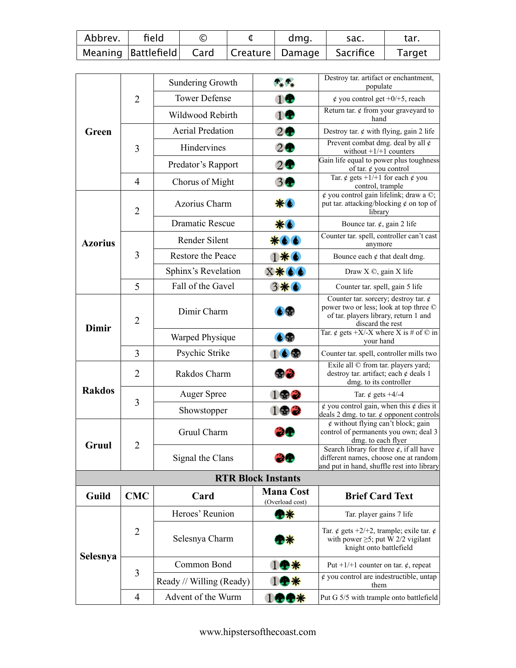| Abbrev. | field | $_{\mathbb{C}}$ | dma. | sac.                                                            | tar.   |
|---------|-------|-----------------|------|-----------------------------------------------------------------|--------|
|         |       |                 |      | Meaning  Battlefield    Card     Creature   Damage    Sacrifice | Target |

|                |                | <b>Sundering Growth</b>  | $P_*$                               | Destroy tar. artifact or enchantment,<br>populate                                                                                                           |
|----------------|----------------|--------------------------|-------------------------------------|-------------------------------------------------------------------------------------------------------------------------------------------------------------|
|                | $\overline{2}$ | <b>Tower Defense</b>     | 10                                  | $\phi$ you control get +0/+5, reach                                                                                                                         |
|                |                | Wildwood Rebirth         | 1                                   | Return tar. $\phi$ from your graveyard to<br>hand                                                                                                           |
| <b>Green</b>   |                | <b>Aerial Predation</b>  | 2                                   | Destroy tar. $\phi$ with flying, gain 2 life                                                                                                                |
|                | 3              | Hindervines              | 2                                   | Prevent combat dmg. deal by all $\phi$<br>without $+1/+1$ counters                                                                                          |
|                |                | Predator's Rapport       | 2                                   | Gain life equal to power plus toughness<br>of tar. ¢ you control                                                                                            |
|                | $\overline{4}$ | Chorus of Might          | 3●                                  | Tar. ¢ gets +1/+1 for each ¢ you                                                                                                                            |
|                |                |                          |                                     | control, trample<br>$\phi$ you control gain lifelink; draw a $\circledcirc$ ;                                                                               |
|                | $\overline{2}$ | Azorius Charm            | ※ ●                                 | put tar. attacking/blocking $\phi$ on top of<br>library                                                                                                     |
|                |                | <b>Dramatic Rescue</b>   | ※6                                  | Bounce tar. $\phi$ , gain 2 life                                                                                                                            |
| <b>Azorius</b> |                | Render Silent            |                                     | Counter tar. spell, controller can't cast<br>anymore                                                                                                        |
|                | 3              | Restore the Peace        |                                     | Bounce each $\phi$ that dealt dmg.                                                                                                                          |
|                |                | Sphinx's Revelation      | X*66                                | Draw X ©, gain X life                                                                                                                                       |
|                | 5              | Fall of the Gavel        | 3※6                                 | Counter tar. spell, gain 5 life                                                                                                                             |
| Dimir          | $\overline{2}$ | Dimir Charm              | b SP                                | Counter tar. sorcery; destroy tar. $\phi$<br>power two or less; look at top three $\heartsuit$<br>of tar. players library, return 1 and<br>discard the rest |
|                |                | Warped Physique          | 6                                   | Tar. ¢ gets +X/-X where X is # of $\odot$ in<br>your hand                                                                                                   |
|                | 3              | Psychic Strike           | 169                                 | Counter tar. spell, controller mills two                                                                                                                    |
|                | $\overline{2}$ | Rakdos Charm             | \$3                                 | Exile all © from tar. players yard;<br>destroy tar. artifact; each $\phi$ deals 1<br>dmg. to its controller                                                 |
| <b>Rakdos</b>  | 3              | <b>Auger Spree</b>       | 192                                 | Tar. $\phi$ gets +4/-4                                                                                                                                      |
|                |                | Showstopper              | $1$ $\circledast$ $\circledast$     | $\phi$ you control gain, when this $\phi$ dies it<br>deals 2 dmg. to tar. $\phi$ opponent controls                                                          |
|                | $\overline{2}$ | Gruul Charm              |                                     | $\phi$ without flying can't block; gain<br>control of permanents you own; deal 3<br>dmg. to each flyer                                                      |
| Gruul          |                | Signal the Clans         | IJФ                                 | Search library for three $\phi$ , if all have<br>different names, choose one at random<br>and put in hand, shuffle rest into library                        |
|                |                |                          | <b>RTR Block Instants</b>           |                                                                                                                                                             |
| Guild          | <b>CMC</b>     | Card                     | <b>Mana Cost</b><br>(Overload cost) | <b>Brief Card Text</b>                                                                                                                                      |
|                |                | Heroes' Reunion          | や楽                                  | Tar. player gains 7 life                                                                                                                                    |
| Selesnya       | $\overline{2}$ | Selesnya Charm           |                                     | Tar. ¢ gets +2/+2, trample; exile tar. ¢<br>with power $\geq$ 5; put W 2/2 vigilant<br>knight onto battlefield                                              |
|                |                | Common Bond              | 1全寮                                 | Put +1/+1 counter on tar. $\phi$ , repeat                                                                                                                   |
|                | 3              | Ready // Willing (Ready) |                                     | $\phi$ you control are indestructible, untap<br>them                                                                                                        |
|                | 4              | Advent of the Wurm       | 1中中茶                                | Put G 5/5 with trample onto battlefield                                                                                                                     |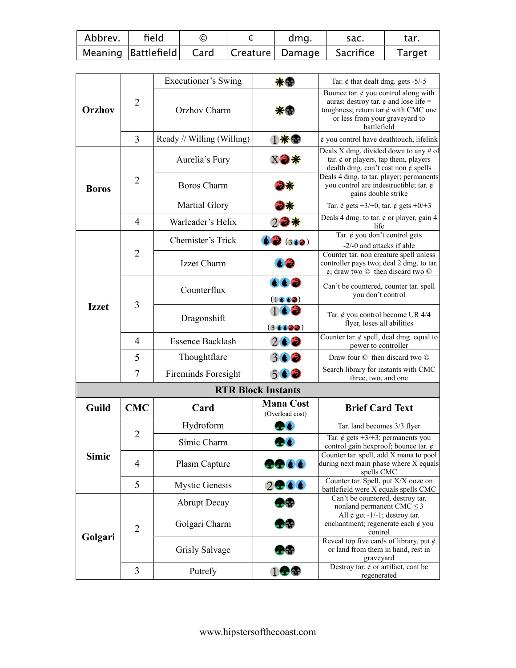| Abbrev. | field | $\circled{\rm c}$ | dma. | sac.                                                        | tar.          |
|---------|-------|-------------------|------|-------------------------------------------------------------|---------------|
|         |       |                   |      | Meaning  Battlefield   Card   Creature   Damage   Sacrifice | <b>Target</b> |

|               |                | Executioner's Swing        |                                     | Tar. $\phi$ that dealt dmg. gets -5/-5                                                                                                                                                |
|---------------|----------------|----------------------------|-------------------------------------|---------------------------------------------------------------------------------------------------------------------------------------------------------------------------------------|
| <b>Orzhov</b> | $\overline{2}$ | Orzhov Charm               |                                     | Bounce tar. $\phi$ you control along with<br>auras; destroy tar. $\phi$ and lose life =<br>toughness; return tar $\phi$ with CMC one<br>or less from your graveyard to<br>battlefield |
|               | 3              | Ready // Willing (Willing) | 1※<                                 | $\phi$ you control have deathtouch, lifelink                                                                                                                                          |
|               |                | Aurelia's Fury             |                                     | Deals X dmg. divided down to any $#$ of<br>tar. $\phi$ or players, tap them, players<br>dealth dmg. can't cast non $\phi$ spells                                                      |
| <b>Boros</b>  | $\overline{2}$ | <b>Boros Charm</b>         |                                     | Deals 4 dmg. to tar. player; permanents<br>you control are indestructible; tar. $\phi$<br>gains double strike                                                                         |
|               |                | Martial Glory              | つ茶                                  | Tar. $\phi$ gets +3/+0, tar. $\phi$ gets +0/+3                                                                                                                                        |
|               | $\overline{4}$ | Warleader's Helix          | $22*$                               | Deals 4 dmg. to tar. $\phi$ or player, gain 4<br>life                                                                                                                                 |
|               |                | Chemister's Trick          | 62(362)                             | Tar. ¢ you don't control gets<br>-2/-0 and attacks if able                                                                                                                            |
|               | $\overline{2}$ | Izzet Charm                |                                     | Counter tar. non creature spell unless<br>controller pays two; deal 2 dmg. to tar.<br>$\phi$ ; draw two $\odot$ then discard two $\odot$                                              |
|               | 3              | Counterflux                | 662<br>(1660)                       | Can't be countered, counter tar. spell<br>you don't control                                                                                                                           |
| <b>Izzet</b>  |                | Dragonshift                | 36622                               | Tar. $\phi$ you control become UR 4/4<br>flyer, loses all abilities                                                                                                                   |
|               | 4              | <b>Essence Backlash</b>    | $2 \bullet 2$                       | Counter tar. $\phi$ spell, deal dmg. equal to<br>power to controller                                                                                                                  |
|               | 5              | Thoughtflare               | 362                                 | Draw four © then discard two ©                                                                                                                                                        |
|               | 7              | <b>Fireminds Foresight</b> | 562                                 | Search library for instants with CMC<br>three, two, and one                                                                                                                           |
|               |                |                            | <b>RTR Block Instants</b>           |                                                                                                                                                                                       |
| Guild         | <b>CMC</b>     | Card                       | <b>Mana Cost</b><br>(Overload cost) | <b>Brief Card Text</b>                                                                                                                                                                |
|               |                | Hydroform                  |                                     | Tar. land becomes 3/3 flyer                                                                                                                                                           |
|               | $\overline{2}$ | Simic Charm                |                                     | Tar. $\acute{\varphi}$ gets +3/+3; permanents you<br>control gain hexproof; bounce tar. ¢                                                                                             |
| Simic         | $\overline{4}$ | Plasm Capture              | 2266                                | Counter tar. spell, add X mana to pool<br>during next main phase where X equals<br>spells CMC                                                                                         |
|               | 5              | <b>Mystic Genesis</b>      | 2000                                | Counter tar. Spell, put X/X ooze on<br>battlefield were X equals spells CMC                                                                                                           |
|               |                | <b>Abrupt Decay</b>        | 令帝                                  | Can't be countered, destroy tar.<br>nonland permanent CMC $\leq$ 3                                                                                                                    |
|               | $\overline{2}$ | Golgari Charm              | 圣帝                                  | All $\phi$ get -1/-1; destroy tar.<br>enchantment; regenerate each $\phi$ you<br>control                                                                                              |
| Golgari       |                | Grisly Salvage             | 公平                                  | Reveal top five cards of library, put $\phi$<br>or land from them in hand, rest in                                                                                                    |
|               |                |                            |                                     | graveyard<br>Destroy tar. $\phi$ or artifact, cant be                                                                                                                                 |